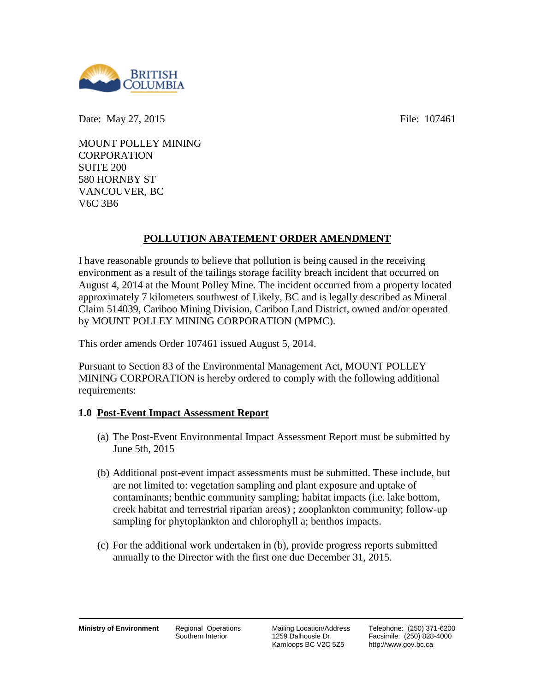

Date: May 27, 2015 **File:** 107461

MOUNT POLLEY MINING **CORPORATION** SUITE 200 580 HORNBY ST VANCOUVER, BC V6C 3B6

# **POLLUTION ABATEMENT ORDER AMENDMENT**

I have reasonable grounds to believe that pollution is being caused in the receiving environment as a result of the tailings storage facility breach incident that occurred on August 4, 2014 at the Mount Polley Mine. The incident occurred from a property located approximately 7 kilometers southwest of Likely, BC and is legally described as Mineral Claim 514039, Cariboo Mining Division, Cariboo Land District, owned and/or operated by MOUNT POLLEY MINING CORPORATION (MPMC).

This order amends Order 107461 issued August 5, 2014.

Pursuant to Section 83 of the Environmental Management Act, MOUNT POLLEY MINING CORPORATION is hereby ordered to comply with the following additional requirements:

## **1.0 Post-Event Impact Assessment Report**

- (a) The Post-Event Environmental Impact Assessment Report must be submitted by June 5th, 2015
- (b) Additional post-event impact assessments must be submitted. These include, but are not limited to: vegetation sampling and plant exposure and uptake of contaminants; benthic community sampling; habitat impacts (i.e. lake bottom, creek habitat and terrestrial riparian areas) ; zooplankton community; follow-up sampling for phytoplankton and chlorophyll a; benthos impacts.
- (c) For the additional work undertaken in (b), provide progress reports submitted annually to the Director with the first one due December 31, 2015.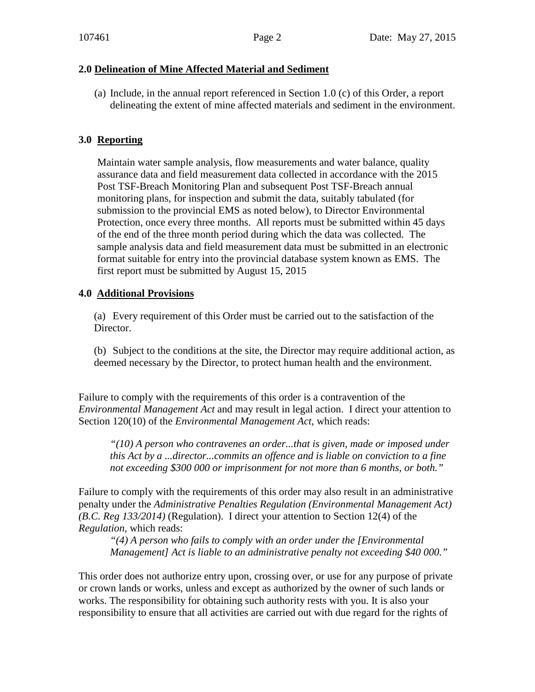#### **2.0 Delineation of Mine Affected Material and Sediment**

(a) Include, in the annual report referenced in Section 1.0 (c) of this Order, a report delineating the extent of mine affected materials and sediment in the environment.

### **3.0 Reporting**

Maintain water sample analysis, flow measurements and water balance, quality assurance data and field measurement data collected in accordance with the 2015 Post TSF-Breach Monitoring Plan and subsequent Post TSF-Breach annual monitoring plans, for inspection and submit the data, suitably tabulated (for submission to the provincial EMS as noted below), to Director Environmental Protection, once every three months. All reports must be submitted within 45 days of the end of the three month period during which the data was collected. The sample analysis data and field measurement data must be submitted in an electronic format suitable for entry into the provincial database system known as EMS. The first report must be submitted by August 15, 2015

#### **4.0 Additional Provisions**

(a) Every requirement of this Order must be carried out to the satisfaction of the Director.

(b) Subject to the conditions at the site, the Director may require additional action, as deemed necessary by the Director, to protect human health and the environment.

Failure to comply with the requirements of this order is a contravention of the *Environmental Management Act* and may result in legal action. I direct your attention to Section 120(10) of the *Environmental Management Act*, which reads:

*"(10) A person who contravenes an order...that is given, made or imposed under this Act by a ...director...commits an offence and is liable on conviction to a fine not exceeding \$300 000 or imprisonment for not more than 6 months, or both."*

Failure to comply with the requirements of this order may also result in an administrative penalty under the *Administrative Penalties Regulation (Environmental Management Act) (B.C. Reg 133/2014)* (Regulation). I direct your attention to Section 12(4) of the *Regulation*, which reads:

*"(4) A person who fails to comply with an order under the [Environmental Management] Act is liable to an administrative penalty not exceeding \$40 000."* 

This order does not authorize entry upon, crossing over, or use for any purpose of private or crown lands or works, unless and except as authorized by the owner of such lands or works. The responsibility for obtaining such authority rests with you. It is also your responsibility to ensure that all activities are carried out with due regard for the rights of